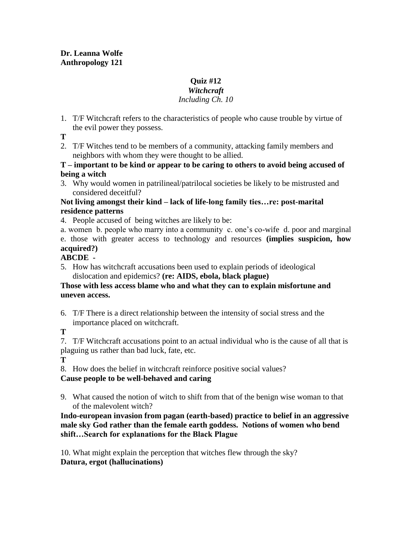#### **Quiz #12**

#### *Witchcraft*

# *Including Ch. 10*

1. T/F Witchcraft refers to the characteristics of people who cause trouble by virtue of the evil power they possess.

**T**

- 2. T/F Witches tend to be members of a community, attacking family members and neighbors with whom they were thought to be allied.
- **T – important to be kind or appear to be caring to others to avoid being accused of being a witch**
- 3. Why would women in patrilineal/patrilocal societies be likely to be mistrusted and considered deceitful?

### **Not living amongst their kind – lack of life-long family ties…re: post-marital residence patterns**

4. People accused of being witches are likely to be:

a. women b. people who marry into a community c. one's co-wife d. poor and marginal e. those with greater access to technology and resources **(implies suspicion, how acquired?)**

# **ABCDE -**

5. How has witchcraft accusations been used to explain periods of ideological dislocation and epidemics? **(re: AIDS, ebola, black plague)**

## **Those with less access blame who and what they can to explain misfortune and uneven access.**

6. T/F There is a direct relationship between the intensity of social stress and the importance placed on witchcraft.

## **T**

7. T/F Witchcraft accusations point to an actual individual who is the cause of all that is plaguing us rather than bad luck, fate, etc.

**T**

8. How does the belief in witchcraft reinforce positive social values? **Cause people to be well-behaved and caring**

9. What caused the notion of witch to shift from that of the benign wise woman to that of the malevolent witch?

**Indo-european invasion from pagan (earth-based) practice to belief in an aggressive male sky God rather than the female earth goddess. Notions of women who bend shift…Search for explanations for the Black Plague**

10. What might explain the perception that witches flew through the sky? **Datura, ergot (hallucinations)**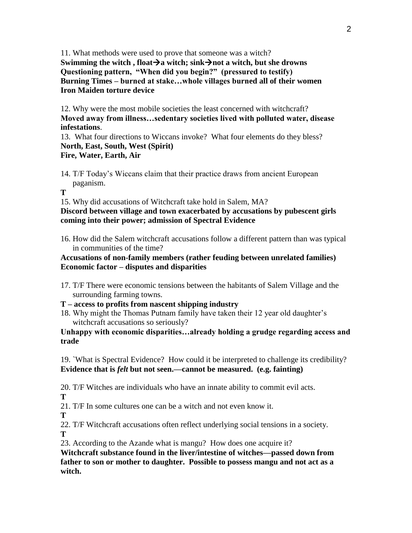11. What methods were used to prove that someone was a witch?

Swimming the witch, float $\rightarrow$ a witch; sink $\rightarrow$ not a witch, but she drowns **Questioning pattern, "When did you begin?" (pressured to testify) Burning Times – burned at stake…whole villages burned all of their women Iron Maiden torture device**

12. Why were the most mobile societies the least concerned with witchcraft? **Moved away from illness…sedentary societies lived with polluted water, disease infestations**.

13. What four directions to Wiccans invoke? What four elements do they bless? **North, East, South, West (Spirit) Fire, Water, Earth, Air**

14. T/F Today's Wiccans claim that their practice draws from ancient European paganism.

**T**

15. Why did accusations of Witchcraft take hold in Salem, MA?

**Discord between village and town exacerbated by accusations by pubescent girls coming into their power; admission of Spectral Evidence**

16. How did the Salem witchcraft accusations follow a different pattern than was typical in communities of the time?

#### **Accusations of non-family members (rather feuding between unrelated families) Economic factor – disputes and disparities**

- 17. T/F There were economic tensions between the habitants of Salem Village and the surrounding farming towns.
- **T – access to profits from nascent shipping industry**
- 18. Why might the Thomas Putnam family have taken their 12 year old daughter's witchcraft accusations so seriously?

**Unhappy with economic disparities…already holding a grudge regarding access and trade**

19. `What is Spectral Evidence? How could it be interpreted to challenge its credibility? **Evidence that is** *felt* **but not seen.—cannot be measured. (e.g. fainting)**

20. T/F Witches are individuals who have an innate ability to commit evil acts.

**T**

21. T/F In some cultures one can be a witch and not even know it.

**T**

22. T/F Witchcraft accusations often reflect underlying social tensions in a society. **T**

23. According to the Azande what is mangu? How does one acquire it?

**Witchcraft substance found in the liver/intestine of witches—passed down from father to son or mother to daughter. Possible to possess mangu and not act as a witch.**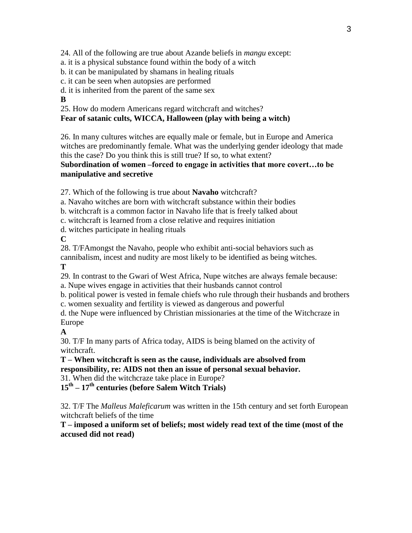24. All of the following are true about Azande beliefs in *mangu* except:

a. it is a physical substance found within the body of a witch

b. it can be manipulated by shamans in healing rituals

c. it can be seen when autopsies are performed

d. it is inherited from the parent of the same sex

#### **B**

25. How do modern Americans regard witchcraft and witches? **Fear of satanic cults, WICCA, Halloween (play with being a witch)**

26. In many cultures witches are equally male or female, but in Europe and America witches are predominantly female. What was the underlying gender ideology that made this the case? Do you think this is still true? If so, to what extent?

#### **Subordination of women –forced to engage in activities that more covert…to be manipulative and secretive**

27. Which of the following is true about **Navaho** witchcraft?

a. Navaho witches are born with witchcraft substance within their bodies

b. witchcraft is a common factor in Navaho life that is freely talked about

c. witchcraft is learned from a close relative and requires initiation

d. witches participate in healing rituals

**C**

28. T/FAmongst the Navaho, people who exhibit anti-social behaviors such as cannibalism, incest and nudity are most likely to be identified as being witches. **T**

29*.* In contrast to the Gwari of West Africa, Nupe witches are always female because:

a. Nupe wives engage in activities that their husbands cannot control

b. political power is vested in female chiefs who rule through their husbands and brothers

c. women sexuality and fertility is viewed as dangerous and powerful

d. the Nupe were influenced by Christian missionaries at the time of the Witchcraze in Europe

# **A**

30. T/F In many parts of Africa today, AIDS is being blamed on the activity of witchcraft.

# **T – When witchcraft is seen as the cause, individuals are absolved from responsibility, re: AIDS not then an issue of personal sexual behavior.**

31. When did the witchcraze take place in Europe?

**15th – 17th centuries (before Salem Witch Trials)**

32. T/F The *Malleus Maleficarum* was written in the 15th century and set forth European witchcraft beliefs of the time

**T – imposed a uniform set of beliefs; most widely read text of the time (most of the accused did not read)**